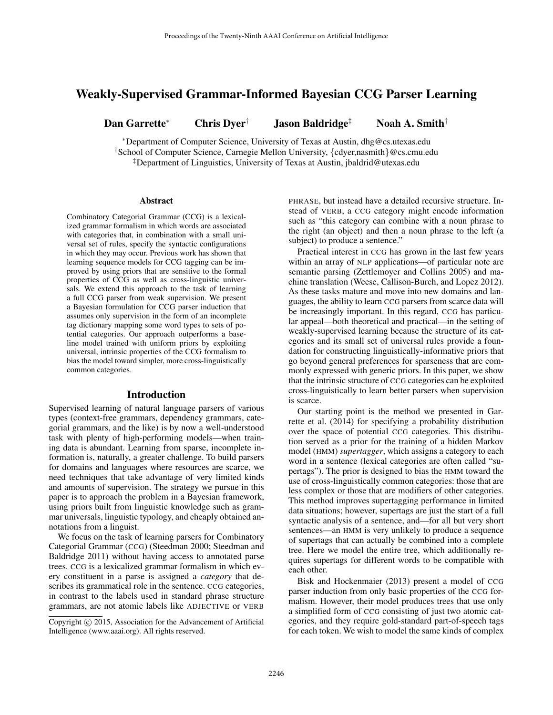# Weakly-Supervised Grammar-Informed Bayesian CCG Parser Learning

Dan Garrette<sup>∗</sup> Chris Dyer† Jason Baldridge‡ Noah A. Smith†

<sup>∗</sup>Department of Computer Science, University of Texas at Austin, dhg@cs.utexas.edu †School of Computer Science, Carnegie Mellon University, {cdyer,nasmith}@cs.cmu.edu ‡Department of Linguistics, University of Texas at Austin, jbaldrid@utexas.edu

#### Abstract

Combinatory Categorial Grammar (CCG) is a lexicalized grammar formalism in which words are associated with categories that, in combination with a small universal set of rules, specify the syntactic configurations in which they may occur. Previous work has shown that learning sequence models for CCG tagging can be improved by using priors that are sensitive to the formal properties of CCG as well as cross-linguistic universals. We extend this approach to the task of learning a full CCG parser from weak supervision. We present a Bayesian formulation for CCG parser induction that assumes only supervision in the form of an incomplete tag dictionary mapping some word types to sets of potential categories. Our approach outperforms a baseline model trained with uniform priors by exploiting universal, intrinsic properties of the CCG formalism to bias the model toward simpler, more cross-linguistically common categories.

### Introduction

Supervised learning of natural language parsers of various types (context-free grammars, dependency grammars, categorial grammars, and the like) is by now a well-understood task with plenty of high-performing models—when training data is abundant. Learning from sparse, incomplete information is, naturally, a greater challenge. To build parsers for domains and languages where resources are scarce, we need techniques that take advantage of very limited kinds and amounts of supervision. The strategy we pursue in this paper is to approach the problem in a Bayesian framework, using priors built from linguistic knowledge such as grammar universals, linguistic typology, and cheaply obtained annotations from a linguist.

We focus on the task of learning parsers for Combinatory Categorial Grammar (CCG) (Steedman 2000; Steedman and Baldridge 2011) without having access to annotated parse trees. CCG is a lexicalized grammar formalism in which every constituent in a parse is assigned a *category* that describes its grammatical role in the sentence. CCG categories, in contrast to the labels used in standard phrase structure grammars, are not atomic labels like ADJECTIVE or VERB

PHRASE, but instead have a detailed recursive structure. Instead of VERB, a CCG category might encode information such as "this category can combine with a noun phrase to the right (an object) and then a noun phrase to the left (a subject) to produce a sentence."

Practical interest in CCG has grown in the last few years within an array of NLP applications—of particular note are semantic parsing (Zettlemoyer and Collins 2005) and machine translation (Weese, Callison-Burch, and Lopez 2012). As these tasks mature and move into new domains and languages, the ability to learn CCG parsers from scarce data will be increasingly important. In this regard, CCG has particular appeal—both theoretical and practical—in the setting of weakly-supervised learning because the structure of its categories and its small set of universal rules provide a foundation for constructing linguistically-informative priors that go beyond general preferences for sparseness that are commonly expressed with generic priors. In this paper, we show that the intrinsic structure of CCG categories can be exploited cross-linguistically to learn better parsers when supervision is scarce.

Our starting point is the method we presented in Garrette et al. (2014) for specifying a probability distribution over the space of potential CCG categories. This distribution served as a prior for the training of a hidden Markov model (HMM) *supertagger*, which assigns a category to each word in a sentence (lexical categories are often called "supertags"). The prior is designed to bias the HMM toward the use of cross-linguistically common categories: those that are less complex or those that are modifiers of other categories. This method improves supertagging performance in limited data situations; however, supertags are just the start of a full syntactic analysis of a sentence, and—for all but very short sentences—an HMM is very unlikely to produce a sequence of supertags that can actually be combined into a complete tree. Here we model the entire tree, which additionally requires supertags for different words to be compatible with each other.

Bisk and Hockenmaier (2013) present a model of CCG parser induction from only basic properties of the CCG formalism. However, their model produces trees that use only a simplified form of CCG consisting of just two atomic categories, and they require gold-standard part-of-speech tags for each token. We wish to model the same kinds of complex

Copyright (c) 2015, Association for the Advancement of Artificial Intelligence (www.aaai.org). All rights reserved.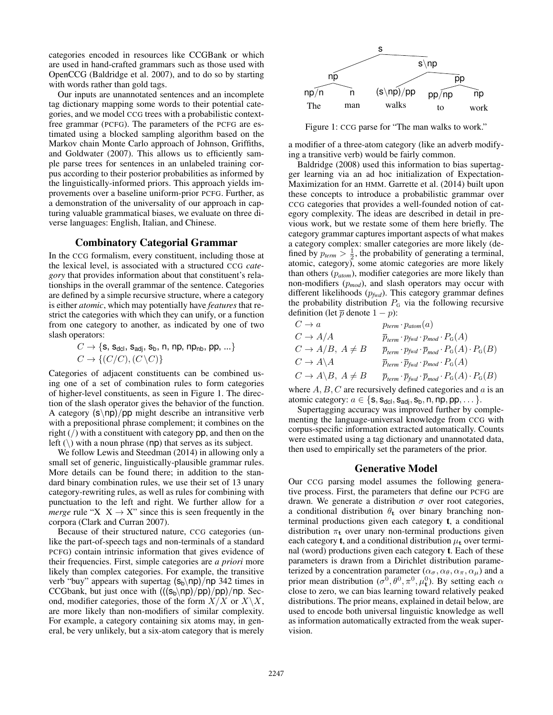categories encoded in resources like CCGBank or which are used in hand-crafted grammars such as those used with OpenCCG (Baldridge et al. 2007), and to do so by starting with words rather than gold tags.

Our inputs are unannotated sentences and an incomplete tag dictionary mapping some words to their potential categories, and we model CCG trees with a probabilistic contextfree grammar (PCFG). The parameters of the PCFG are estimated using a blocked sampling algorithm based on the Markov chain Monte Carlo approach of Johnson, Griffiths, and Goldwater (2007). This allows us to efficiently sample parse trees for sentences in an unlabeled training corpus according to their posterior probabilities as informed by the linguistically-informed priors. This approach yields improvements over a baseline uniform-prior PCFG. Further, as a demonstration of the universality of our approach in capturing valuable grammatical biases, we evaluate on three diverse languages: English, Italian, and Chinese.

### Combinatory Categorial Grammar

In the CCG formalism, every constituent, including those at the lexical level, is associated with a structured CCG *category* that provides information about that constituent's relationships in the overall grammar of the sentence. Categories are defined by a simple recursive structure, where a category is either *atomic*, which may potentially have *features* that restrict the categories with which they can unify, or a function from one category to another, as indicated by one of two slash operators:

$$
C \rightarrow \{\mathbf{s}, \mathbf{s}_{\text{dcl}}, \mathbf{s}_{\text{adj}}, \mathbf{s}_{\text{b}}, \mathbf{n}, \mathbf{n}\mathbf{p}, \mathbf{n}\mathbf{p}_{\text{nb}}, \mathbf{p}\mathbf{p}, \ldots\}
$$
  

$$
C \rightarrow \{ (C/C), (C \setminus C) \}
$$

Categories of adjacent constituents can be combined using one of a set of combination rules to form categories of higher-level constituents, as seen in Figure 1. The direction of the slash operator gives the behavior of the function. A category  $(s \np) / pp$  might describe an intransitive verb with a prepositional phrase complement; it combines on the right  $\left(\frac{1}{2}\right)$  with a constituent with category pp, and then on the left  $(\rangle)$  with a noun phrase (np) that serves as its subject.

We follow Lewis and Steedman (2014) in allowing only a small set of generic, linguistically-plausible grammar rules. More details can be found there; in addition to the standard binary combination rules, we use their set of 13 unary category-rewriting rules, as well as rules for combining with punctuation to the left and right. We further allow for a *merge* rule " $X \times X \rightarrow X$ " since this is seen frequently in the corpora (Clark and Curran 2007).

Because of their structured nature, CCG categories (unlike the part-of-speech tags and non-terminals of a standard PCFG) contain intrinsic information that gives evidence of their frequencies. First, simple categories are *a priori* more likely than complex categories. For example, the transitive verb "buy" appears with supertag  $(s_b \np)$ /np 342 times in CCGbank, but just once with  $(((s_b\np)/pp)/pp)/np$ . Second, modifier categories, those of the form  $X/X$  or  $X\backslash X$ , are more likely than non-modifiers of similar complexity. For example, a category containing six atoms may, in general, be very unlikely, but a six-atom category that is merely



Figure 1: CCG parse for "The man walks to work."

a modifier of a three-atom category (like an adverb modifying a transitive verb) would be fairly common.

Baldridge (2008) used this information to bias supertagger learning via an ad hoc initialization of Expectation-Maximization for an HMM. Garrette et al. (2014) built upon these concepts to introduce a probabilistic grammar over CCG categories that provides a well-founded notion of category complexity. The ideas are described in detail in previous work, but we restate some of them here briefly. The category grammar captures important aspects of what makes a category complex: smaller categories are more likely (defined by  $p_{term} > \frac{1}{2}$ , the probability of generating a terminal, atomic, category), some atomic categories are more likely than others (p*atom*), modifier categories are more likely than non-modifiers (p*mod*), and slash operators may occur with different likelihoods (p*fwd*). This category grammar defines the probability distribution  $P<sub>G</sub>$  via the following recursive definition (let  $\bar{p}$  denote  $1 - p$ ):

$$
C \rightarrow a
$$
  
\n
$$
C \rightarrow A/A
$$
  
\n
$$
C \rightarrow A/B, A \neq B
$$
  
\n
$$
C \rightarrow A/B, A \neq B
$$
  
\n
$$
C \rightarrow A \setminus A
$$
  
\n
$$
C \rightarrow A \setminus B, A \neq B
$$
  
\n
$$
C \rightarrow A \setminus B, A \neq B
$$
  
\n
$$
C \rightarrow A \setminus B, A \neq B
$$
  
\n
$$
T_{\text{term}} \cdot \overline{p}_{\text{fwd}} \cdot P_{\text{mod}} \cdot P_{\text{G}}(A)
$$
  
\n
$$
C \rightarrow A \setminus B, A \neq B
$$
  
\n
$$
\overline{p}_{\text{term}} \cdot \overline{p}_{\text{fwd}} \cdot \overline{p}_{\text{mod}} \cdot P_{\text{G}}(A) \cdot P_{\text{G}}(B)
$$

where  $A, B, C$  are recursively defined categories and  $a$  is an atomic category:  $a \in \{s, s_{\text{dcl}}, s_{\text{adj}}, s_{\text{b}}, n, np, pp, \dots\}.$ 

Supertagging accuracy was improved further by complementing the language-universal knowledge from CCG with corpus-specific information extracted automatically. Counts were estimated using a tag dictionary and unannotated data, then used to empirically set the parameters of the prior.

### Generative Model

Our CCG parsing model assumes the following generative process. First, the parameters that define our PCFG are drawn. We generate a distribution  $\sigma$  over root categories, a conditional distribution  $\theta_t$  over binary branching nonterminal productions given each category t, a conditional distribution  $\pi_t$  over unary non-terminal productions given each category **t**, and a conditional distribution  $\mu_t$  over terminal (word) productions given each category t. Each of these parameters is drawn from a Dirichlet distribution parameterized by a concentration parameter  $(\alpha_{\sigma}, \alpha_{\theta}, \alpha_{\pi}, \alpha_{\mu})$  and a prior mean distribution  $(\sigma^0, \theta^0, \pi^0, \mu_t^0)$ . By setting each  $\alpha$ close to zero, we can bias learning toward relatively peaked distributions. The prior means, explained in detail below, are used to encode both universal linguistic knowledge as well as information automatically extracted from the weak supervision.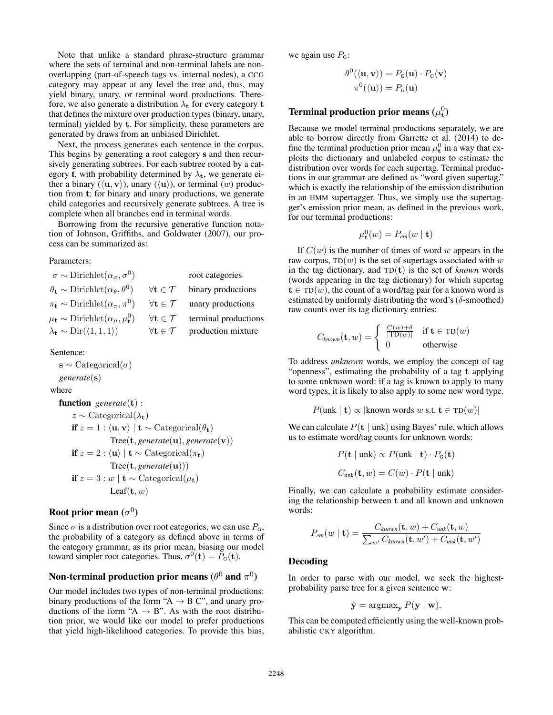Note that unlike a standard phrase-structure grammar where the sets of terminal and non-terminal labels are nonoverlapping (part-of-speech tags vs. internal nodes), a CCG category may appear at any level the tree and, thus, may yield binary, unary, or terminal word productions. Therefore, we also generate a distribution  $\lambda_t$  for every category t that defines the mixture over production types (binary, unary, terminal) yielded by t. For simplicity, these parameters are generated by draws from an unbiased Dirichlet.

Next, the process generates each sentence in the corpus. This begins by generating a root category s and then recursively generating subtrees. For each subtree rooted by a category **t**, with probability determined by  $\lambda_t$ , we generate either a binary  $(\langle \mathbf{u}, \mathbf{v} \rangle)$ , unary  $(\langle \mathbf{u} \rangle)$ , or terminal  $(w)$  production from t; for binary and unary productions, we generate child categories and recursively generate subtrees. A tree is complete when all branches end in terminal words.

Borrowing from the recursive generative function notation of Johnson, Griffiths, and Goldwater (2007), our process can be summarized as:

#### Parameters:

| $\sigma \sim \text{Dirichlet}(\alpha_{\sigma}, \sigma^0)$                  |                                      | root categories      |
|----------------------------------------------------------------------------|--------------------------------------|----------------------|
| $\theta_{\rm t} \sim \text{Dirichlet}(\alpha_{\theta}, \theta^0)$          | $\forall \mathbf{t} \in \mathcal{T}$ | binary productions   |
| $\pi_{\mathbf{t}} \sim \text{Dirichlet}(\alpha_{\pi}, \pi^0)$              | $\forall \mathbf{t} \in \mathcal{T}$ | unary productions    |
| $\mu_{\mathbf{t}} \sim \text{Dirichlet}(\alpha_{\mu}, \mu_{\mathbf{t}}^0)$ | $\forall \mathbf{t} \in \mathcal{T}$ | terminal productions |
| $\lambda_{\mathbf{t}} \sim \text{Dir}(\langle 1, 1, 1 \rangle)$            | $\forall \mathbf{t} \in \mathcal{T}$ | production mixture   |

Sentence:

 $\mathbf{s} \sim$  Categorical( $\sigma$ ) *generate*(s)

where

function *generate*(t) :  $z \sim$  Categorical( $\lambda_{t}$ ) if  $z = 1 : \langle \mathbf{u}, \mathbf{v} \rangle \mid \mathbf{t} \sim \text{Categorical}(\theta_{\mathbf{t}})$ Tree(t, *generate*(u), *generate*(v)) if  $z = 2 : \langle u \rangle | t \sim \text{Categorical}(\pi_t)$ Tree(t, *generate*(u))) **if**  $z = 3 : w \, |$  **t** ∼ Categorical( $\mu_t$ ) Leaf $(\mathbf{t}, w)$ 

# Root prior mean  $(\sigma^0)$

Since  $\sigma$  is a distribution over root categories, we can use  $P_{\rm G}$ , the probability of a category as defined above in terms of the category grammar, as its prior mean, biasing our model toward simpler root categories. Thus,  $\sigma^0(\mathbf{t}) = P_\text{o}(\mathbf{t})$ .

# Non-terminal production prior means  $(\theta^0$  and  $\pi^0)$

Our model includes two types of non-terminal productions: binary productions of the form "A  $\rightarrow$  B C", and unary productions of the form "A  $\rightarrow$  B". As with the root distribution prior, we would like our model to prefer productions that yield high-likelihood categories. To provide this bias,

we again use  $P<sub>G</sub>$ :

$$
\theta^{0}(\langle \mathbf{u}, \mathbf{v} \rangle) = P_{G}(\mathbf{u}) \cdot P_{G}(\mathbf{v})
$$

$$
\pi^{0}(\langle \mathbf{u} \rangle) = P_{G}(\mathbf{u})
$$

# Terminal production prior means  $(\mu_t^0)$

Because we model terminal productions separately, we are able to borrow directly from Garrette et al. (2014) to define the terminal production prior mean  $\mu_t^0$  in a way that exploits the dictionary and unlabeled corpus to estimate the distribution over words for each supertag. Terminal productions in our grammar are defined as "word given supertag," which is exactly the relationship of the emission distribution in an HMM supertagger. Thus, we simply use the supertagger's emission prior mean, as defined in the previous work, for our terminal productions:

$$
\mu^0_{\mathbf{t}}(w) = P_{\text{em}}(w \mid \mathbf{t})
$$

If  $C(w)$  is the number of times of word w appears in the raw corpus,  $TD(w)$  is the set of supertags associated with w in the tag dictionary, and  $TD(t)$  is the set of *known* words (words appearing in the tag dictionary) for which supertag  $t \in TD(w)$ , the count of a word/tag pair for a known word is estimated by uniformly distributing the word's  $(\delta$ -smoothed) raw counts over its tag dictionary entries:

$$
C_{known}(\mathbf{t}, w) = \begin{cases} \n\frac{C(w) + \delta}{|\text{TD}(w)|} & \text{if } \mathbf{t} \in \text{TD}(w) \\
0 & \text{otherwise}\n\end{cases}
$$

To address *unknown* words, we employ the concept of tag "openness", estimating the probability of a tag t applying to some unknown word: if a tag is known to apply to many word types, it is likely to also apply to some new word type.

$$
P(\text{unk} \mid \mathbf{t}) \propto |\text{known words } w \text{ s.t. } \mathbf{t} \in TD(w)|
$$

We can calculate  $P(t | unk)$  using Bayes' rule, which allows us to estimate word/tag counts for unknown words:

$$
P(\mathbf{t} \mid \text{unk}) \propto P(\text{unk} \mid \mathbf{t}) \cdot P_{\text{G}}(\mathbf{t})
$$

$$
C_{\text{unk}}(\mathbf{t}, w) = C(w) \cdot P(\mathbf{t} \mid \text{unk})
$$

Finally, we can calculate a probability estimate considering the relationship between t and all known and unknown words:

$$
P_{em}(w \mid \mathbf{t}) = \frac{C_{known}(\mathbf{t}, w) + C_{unk}(\mathbf{t}, w)}{\sum_{w'} C_{known}(\mathbf{t}, w') + C_{unk}(\mathbf{t}, w')}
$$

## Decoding

In order to parse with our model, we seek the highestprobability parse tree for a given sentence w:

$$
\hat{\mathbf{y}} = \operatorname{argmax}_{\mathbf{y}} P(\mathbf{y} \mid \mathbf{w}).
$$

This can be computed efficiently using the well-known probabilistic CKY algorithm.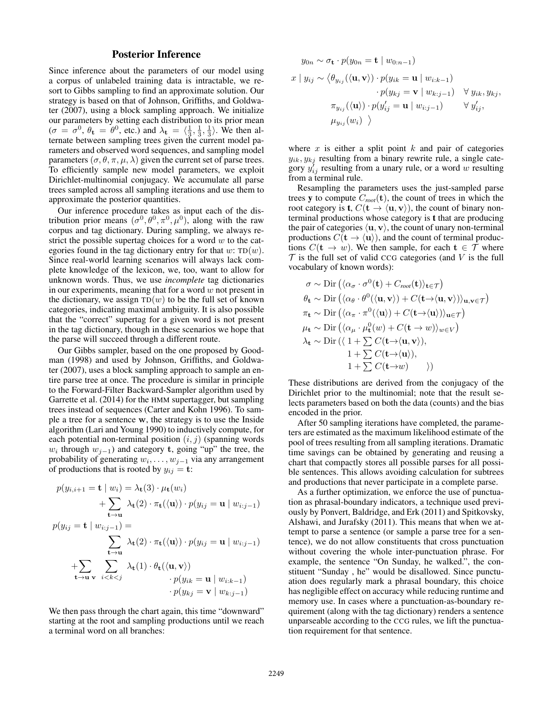# Posterior Inference

Since inference about the parameters of our model using a corpus of unlabeled training data is intractable, we resort to Gibbs sampling to find an approximate solution. Our strategy is based on that of Johnson, Griffiths, and Goldwater (2007), using a block sampling approach. We initialize our parameters by setting each distribution to its prior mean  $(\sigma = \sigma^0, \theta_t = \theta^0,$  etc.) and  $\lambda_t = \langle \frac{1}{3}, \frac{1}{3}, \frac{1}{3} \rangle$ . We then alternate between sampling trees given the current model parameters and observed word sequences, and sampling model parameters  $(\sigma, \theta, \pi, \mu, \lambda)$  given the current set of parse trees. To efficiently sample new model parameters, we exploit Dirichlet-multinomial conjugacy. We accumulate all parse trees sampled across all sampling iterations and use them to approximate the posterior quantities.

Our inference procedure takes as input each of the distribution prior means  $(\sigma^0, \theta^0, \pi^0, \mu^0)$ , along with the raw corpus and tag dictionary. During sampling, we always restrict the possible supertag choices for a word  $w$  to the categories found in the tag dictionary entry for that  $w$ : TD $(w)$ . Since real-world learning scenarios will always lack complete knowledge of the lexicon, we, too, want to allow for unknown words. Thus, we use *incomplete* tag dictionaries in our experiments, meaning that for a word  $w$  not present in the dictionary, we assign  $TD(w)$  to be the full set of known categories, indicating maximal ambiguity. It is also possible that the "correct" supertag for a given word is not present in the tag dictionary, though in these scenarios we hope that the parse will succeed through a different route.

Our Gibbs sampler, based on the one proposed by Goodman (1998) and used by Johnson, Griffiths, and Goldwater (2007), uses a block sampling approach to sample an entire parse tree at once. The procedure is similar in principle to the Forward-Filter Backward-Sampler algorithm used by Garrette et al. (2014) for the HMM supertagger, but sampling trees instead of sequences (Carter and Kohn 1996). To sample a tree for a sentence w, the strategy is to use the Inside algorithm (Lari and Young 1990) to inductively compute, for each potential non-terminal position  $(i, j)$  (spanning words  $w_i$  through  $w_{j-1}$ ) and category t, going "up" the tree, the probability of generating  $w_i, \ldots, w_{j-1}$  via any arrangement of productions that is rooted by  $y_{ij} = t$ :

$$
p(y_{i,i+1} = \mathbf{t} \mid w_i) = \lambda_{\mathbf{t}}(3) \cdot \mu_{\mathbf{t}}(w_i)
$$
  
+ 
$$
\sum_{\mathbf{t} \to \mathbf{u}} \lambda_{\mathbf{t}}(2) \cdot \pi_{\mathbf{t}}(\langle \mathbf{u} \rangle) \cdot p(y_{ij} = \mathbf{u} \mid w_{i:j-1})
$$
  

$$
p(y_{ij} = \mathbf{t} \mid w_{i:j-1}) = \sum_{\mathbf{t} \to \mathbf{u}} \lambda_{\mathbf{t}}(2) \cdot \pi_{\mathbf{t}}(\langle \mathbf{u} \rangle) \cdot p(y_{ij} = \mathbf{u} \mid w_{i:j-1})
$$
  
+ 
$$
\sum_{\mathbf{t} \to \mathbf{u}} \sum_{\mathbf{v}} \lambda_{\mathbf{t}}(1) \cdot \theta_{\mathbf{t}}(\langle \mathbf{u}, \mathbf{v} \rangle)
$$
  

$$
\cdot p(y_{ik} = \mathbf{u} \mid w_{i:k-1})
$$
  

$$
\cdot p(y_{kj} = \mathbf{v} \mid w_{k:j-1})
$$

We then pass through the chart again, this time "downward" starting at the root and sampling productions until we reach a terminal word on all branches:

$$
y_{0n} \sim \sigma_{\mathbf{t}} \cdot p(y_{0n} = \mathbf{t} \mid w_{0:n-1})
$$
  

$$
x \mid y_{ij} \sim \langle \theta_{y_{ij}} (\langle \mathbf{u}, \mathbf{v} \rangle) \cdot p(y_{ik} = \mathbf{u} \mid w_{i:k-1})
$$

$$
\cdot p(y_{kj} = \mathbf{v} \mid w_{k:j-1}) \quad \forall y_{ik}, y_{kj},
$$

$$
\pi_{y_{ij}} (\langle \mathbf{u} \rangle) \cdot p(y'_{ij} = \mathbf{u} \mid w_{i:j-1}) \quad \forall y'_{ij},
$$

$$
\mu_{y_{ij}} (w_i) \rangle
$$

where  $x$  is either a split point  $k$  and pair of categories  $y_{ik}, y_{kj}$  resulting from a binary rewrite rule, a single category  $y'_{ij}$  resulting from a unary rule, or a word w resulting from a terminal rule.

Resampling the parameters uses the just-sampled parse trees **y** to compute  $C_{root}(\mathbf{t})$ , the count of trees in which the root category is **t**,  $C(t \rightarrow \langle \mathbf{u}, \mathbf{v} \rangle)$ , the count of binary nonterminal productions whose category is t that are producing the pair of categories  $\langle \mathbf{u}, \mathbf{v} \rangle$ , the count of unary non-terminal productions  $C(\mathbf{t} \to \langle \mathbf{u} \rangle)$ , and the count of terminal productions  $C(\mathbf{t} \to w)$ . We then sample, for each  $\mathbf{t} \in \mathcal{T}$  where  $\mathcal T$  is the full set of valid CCG categories (and V is the full vocabulary of known words):

$$
\sigma \sim \text{Dir}\left(\langle \alpha_{\sigma} \cdot \sigma^{0}(\mathbf{t}) + C_{root}(\mathbf{t}) \rangle_{\mathbf{t} \in \mathcal{T}}\right)
$$
\n
$$
\theta_{\mathbf{t}} \sim \text{Dir}\left(\langle \alpha_{\theta} \cdot \theta^{0}(\langle \mathbf{u}, \mathbf{v} \rangle) + C(\mathbf{t} \rightarrow \langle \mathbf{u}, \mathbf{v} \rangle) \rangle_{\mathbf{u}, \mathbf{v} \in \mathcal{T}}\right)
$$
\n
$$
\pi_{\mathbf{t}} \sim \text{Dir}\left(\langle \alpha_{\pi} \cdot \pi^{0}(\langle \mathbf{u} \rangle) + C(\mathbf{t} \rightarrow \langle \mathbf{u} \rangle) \rangle_{\mathbf{u} \in \mathcal{T}}\right)
$$
\n
$$
\mu_{\mathbf{t}} \sim \text{Dir}\left(\langle \alpha_{\mu} \cdot \mu_{\mathbf{t}}^{0}(w) + C(\mathbf{t} \rightarrow w) \rangle_{w \in V}\right)
$$
\n
$$
\lambda_{\mathbf{t}} \sim \text{Dir}\left(\langle 1 + \sum_{\tau} C(\mathbf{t} \rightarrow \langle \mathbf{u}, \mathbf{v} \rangle), \right)
$$
\n
$$
1 + \sum_{\tau} C(\mathbf{t} \rightarrow \langle \mathbf{u} \rangle),
$$
\n
$$
1 + \sum_{\tau} C(\mathbf{t} \rightarrow w) \qquad \rangle
$$

These distributions are derived from the conjugacy of the Dirichlet prior to the multinomial; note that the result selects parameters based on both the data (counts) and the bias encoded in the prior.

After 50 sampling iterations have completed, the parameters are estimated as the maximum likelihood estimate of the pool of trees resulting from all sampling iterations. Dramatic time savings can be obtained by generating and reusing a chart that compactly stores all possible parses for all possible sentences. This allows avoiding calculation for subtrees and productions that never participate in a complete parse.

As a further optimization, we enforce the use of punctuation as phrasal-boundary indicators, a technique used previously by Ponvert, Baldridge, and Erk (2011) and Spitkovsky, Alshawi, and Jurafsky (2011). This means that when we attempt to parse a sentence (or sample a parse tree for a sentence), we do not allow constituents that cross punctuation without covering the whole inter-punctuation phrase. For example, the sentence "On Sunday, he walked.", the constituent "Sunday , he" would be disallowed. Since punctuation does regularly mark a phrasal boundary, this choice has negligible effect on accuracy while reducing runtime and memory use. In cases where a punctuation-as-boundary requirement (along with the tag dictionary) renders a sentence unparseable according to the CCG rules, we lift the punctuation requirement for that sentence.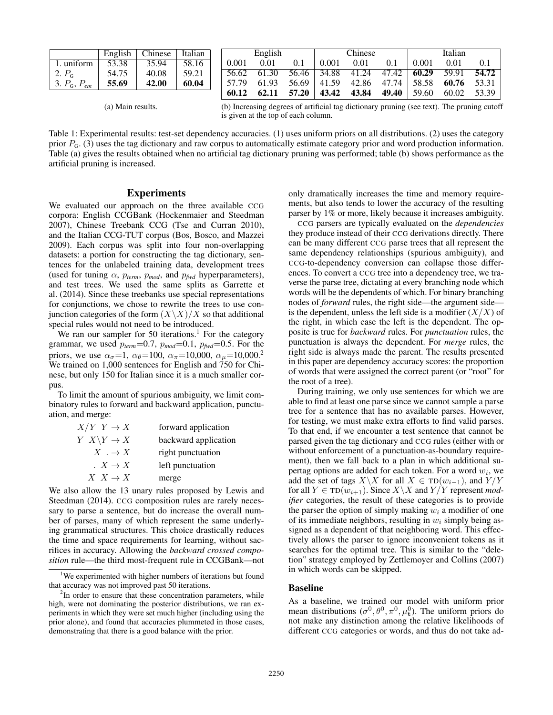|                               | English | Chinese | Italian |       | English |       |             | Chinese |                                     |       | Italian |       |
|-------------------------------|---------|---------|---------|-------|---------|-------|-------------|---------|-------------------------------------|-------|---------|-------|
| 1. uniform                    | 53.38   | 35.94   | 58.16   | 0.001 | 0.01    | 0.1   | 0.001       | 0.01    | 0.1                                 | 0.001 | 0.01    | 0.1   |
| 2. P <sub>6</sub>             | 54.75   | 40.08   | 59.21   | 56.62 | 61.30   | 56.46 | 34.88       |         | $41.24$ $47.42$ $60.29$             |       | 59.91   | 54.72 |
| 3. $P_{\rm G}$ , $P_{\rm em}$ | 55.69   | 42.00   | 60.04   | 57.79 | 61.93   |       |             |         | $56.69$   41.59 42.86 47.74   58.58 |       | 60.76   | 53.31 |
|                               |         |         |         | 60.12 | 62.11   | 57.20 | 43.42 43.84 |         | 49.40                               | 59.60 | 60.02   | 53.39 |

(a) Main results.

(b) Increasing degrees of artificial tag dictionary pruning (see text). The pruning cutoff is given at the top of each column.

Table 1: Experimental results: test-set dependency accuracies. (1) uses uniform priors on all distributions. (2) uses the category prior  $P_G$ . (3) uses the tag dictionary and raw corpus to automatically estimate category prior and word production information. Table (a) gives the results obtained when no artificial tag dictionary pruning was performed; table (b) shows performance as the artificial pruning is increased.

### Experiments

We evaluated our approach on the three available CCG corpora: English CCGBank (Hockenmaier and Steedman 2007), Chinese Treebank CCG (Tse and Curran 2010), and the Italian CCG-TUT corpus (Bos, Bosco, and Mazzei 2009). Each corpus was split into four non-overlapping datasets: a portion for constructing the tag dictionary, sentences for the unlabeled training data, development trees (used for tuning  $\alpha$ ,  $p_{term}$ ,  $p_{mod}$ , and  $p_{fwd}$  hyperparameters), and test trees. We used the same splits as Garrette et al. (2014). Since these treebanks use special representations for conjunctions, we chose to rewrite the trees to use conjunction categories of the form  $(X\X)/X$  so that additional special rules would not need to be introduced.

We ran our sampler for 50 iterations.<sup>1</sup> For the category grammar, we used  $p_{term}=0.7$ ,  $p_{mod}=0.1$ ,  $p_{fwd}=0.5$ . For the priors, we use  $\alpha_{\sigma} = 1$ ,  $\alpha_{\theta} = 100$ ,  $\alpha_{\pi} = 10,000$ ,  $\alpha_{\mu} = 10,000$ .<sup>2</sup> We trained on 1,000 sentences for English and 750 for Chinese, but only 150 for Italian since it is a much smaller corpus.

To limit the amount of spurious ambiguity, we limit combinatory rules to forward and backward application, punctuation, and merge:

| $X/Y$ $Y \rightarrow X$ | forward application  |
|-------------------------|----------------------|
| $Y \ X \ Y \to X$       | backward application |
| $X \rightarrow X$       | right punctuation    |
| $\cdot X \rightarrow X$ | left punctuation     |
| $X\ X\to X$             | merge                |

We also allow the 13 unary rules proposed by Lewis and Steedman (2014). CCG composition rules are rarely necessary to parse a sentence, but do increase the overall number of parses, many of which represent the same underlying grammatical structures. This choice drastically reduces the time and space requirements for learning, without sacrifices in accuracy. Allowing the *backward crossed composition* rule—the third most-frequent rule in CCGBank—not only dramatically increases the time and memory requirements, but also tends to lower the accuracy of the resulting parser by 1% or more, likely because it increases ambiguity.

CCG parsers are typically evaluated on the *dependencies* they produce instead of their CCG derivations directly. There can be many different CCG parse trees that all represent the same dependency relationships (spurious ambiguity), and CCG-to-dependency conversion can collapse those differences. To convert a CCG tree into a dependency tree, we traverse the parse tree, dictating at every branching node which words will be the dependents of which. For binary branching nodes of *forward* rules, the right side—the argument side is the dependent, unless the left side is a modifier  $(X/X)$  of the right, in which case the left is the dependent. The opposite is true for *backward* rules. For *punctuation* rules, the punctuation is always the dependent. For *merge* rules, the right side is always made the parent. The results presented in this paper are dependency accuracy scores: the proportion of words that were assigned the correct parent (or "root" for the root of a tree).

During training, we only use sentences for which we are able to find at least one parse since we cannot sample a parse tree for a sentence that has no available parses. However, for testing, we must make extra efforts to find valid parses. To that end, if we encounter a test sentence that cannot be parsed given the tag dictionary and CCG rules (either with or without enforcement of a punctuation-as-boundary requirement), then we fall back to a plan in which additional supertag options are added for each token. For a word  $w_i$ , we add the set of tags  $X\setminus X$  for all  $X \in TD(w_{i-1})$ , and  $Y/Y$ for all  $Y \in TD(w_{i+1})$ . Since  $X \backslash X$  and  $Y/Y$  represent *modifier* categories, the result of these categories is to provide the parser the option of simply making  $w_i$  a modifier of one of its immediate neighbors, resulting in  $w_i$  simply being assigned as a dependent of that neighboring word. This effectively allows the parser to ignore inconvenient tokens as it searches for the optimal tree. This is similar to the "deletion" strategy employed by Zettlemoyer and Collins (2007) in which words can be skipped.

### Baseline

As a baseline, we trained our model with uniform prior mean distributions  $(\sigma^0, \theta^0, \pi^0, \mu_t^0)$ . The uniform priors do not make any distinction among the relative likelihoods of different CCG categories or words, and thus do not take ad-

<sup>&</sup>lt;sup>1</sup>We experimented with higher numbers of iterations but found that accuracy was not improved past 50 iterations.

 $2$ In order to ensure that these concentration parameters, while high, were not dominating the posterior distributions, we ran experiments in which they were set much higher (including using the prior alone), and found that accuracies plummeted in those cases, demonstrating that there is a good balance with the prior.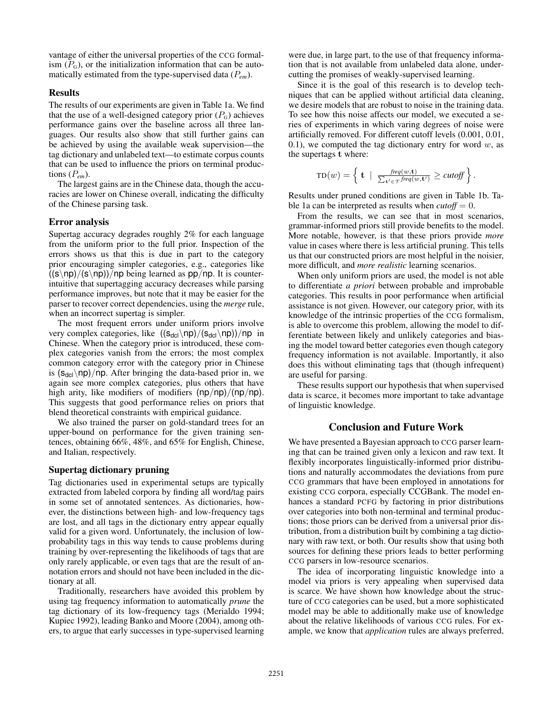vantage of either the universal properties of the CCG formalism  $(P_G)$ , or the initialization information that can be automatically estimated from the type-supervised data (P*em*).

### Results

The results of our experiments are given in Table 1a. We find that the use of a well-designed category prior  $(P<sub>G</sub>)$  achieves performance gains over the baseline across all three languages. Our results also show that still further gains can be achieved by using the available weak supervision—the tag dictionary and unlabeled text—to estimate corpus counts that can be used to influence the priors on terminal productions (P*em*).

The largest gains are in the Chinese data, though the accuracies are lower on Chinese overall, indicating the difficulty of the Chinese parsing task.

### Error analysis

Supertag accuracy degrades roughly 2% for each language from the uniform prior to the full prior. Inspection of the errors shows us that this is due in part to the category prior encouraging simpler categories, e.g., categories like  $((s\n\rangle np)/(s\n\rangle np)$ )/np being learned as pp/np. It is counterintuitive that supertagging accuracy decreases while parsing performance improves, but note that it may be easier for the parser to recover correct dependencies, using the *merge* rule, when an incorrect supertag is simpler.

The most frequent errors under uniform priors involve very complex categories, like  $((s_{\text{del}}\n\rangle \text{np})/(s_{\text{del}}\n\rangle \text{np}))/np$  in Chinese. When the category prior is introduced, these complex categories vanish from the errors; the most complex common category error with the category prior in Chinese is  $(s_{\text{del}}/np)/np$ . After bringing the data-based prior in, we again see more complex categories, plus others that have high arity, like modifiers of modifiers  $(np/np)/(np/np)$ . This suggests that good performance relies on priors that blend theoretical constraints with empirical guidance.

We also trained the parser on gold-standard trees for an upper-bound on performance for the given training sentences, obtaining 66%, 48%, and 65% for English, Chinese, and Italian, respectively.

### Supertag dictionary pruning

Tag dictionaries used in experimental setups are typically extracted from labeled corpora by finding all word/tag pairs in some set of annotated sentences. As dictionaries, however, the distinctions between high- and low-frequency tags are lost, and all tags in the dictionary entry appear equally valid for a given word. Unfortunately, the inclusion of lowprobability tags in this way tends to cause problems during training by over-representing the likelihoods of tags that are only rarely applicable, or even tags that are the result of annotation errors and should not have been included in the dictionary at all.

Traditionally, researchers have avoided this problem by using tag frequency information to automatically *prune* the tag dictionary of its low-frequency tags (Merialdo 1994; Kupiec 1992), leading Banko and Moore (2004), among others, to argue that early successes in type-supervised learning

were due, in large part, to the use of that frequency information that is not available from unlabeled data alone, undercutting the promises of weakly-supervised learning.

Since it is the goal of this research is to develop techniques that can be applied without artificial data cleaning, we desire models that are robust to noise in the training data. To see how this noise affects our model, we executed a series of experiments in which varing degrees of noise were artificially removed. For different cutoff levels (0.001, 0.01, 0.1), we computed the tag dictionary entry for word  $w$ , as the supertags t where:

$$
TD(w) = \left\{ \mathbf{t} \; \mid \; \frac{\text{freq}(w, \mathbf{t})}{\sum_{\mathbf{t'} \in \mathcal{T}} \text{freq}(w, \mathbf{t'})} \geq \text{cutoff} \right\}.
$$

Results under pruned conditions are given in Table 1b. Table 1a can be interpreted as results when  $\alpha utoff = 0$ .

From the results, we can see that in most scenarios, grammar-informed priors still provide benefits to the model. More notable, however, is that these priors provide *more* value in cases where there is less artificial pruning. This tells us that our constructed priors are most helpful in the noisier, more difficult, and *more realistic* learning scenarios.

When only uniform priors are used, the model is not able to differentiate *a priori* between probable and improbable categories. This results in poor performance when artificial assistance is not given. However, our category prior, with its knowledge of the intrinsic properties of the CCG formalism, is able to overcome this problem, allowing the model to differentiate between likely and unlikely categories and biasing the model toward better categories even though category frequency information is not available. Importantly, it also does this without eliminating tags that (though infrequent) are useful for parsing.

These results support our hypothesis that when supervised data is scarce, it becomes more important to take advantage of linguistic knowledge.

# Conclusion and Future Work

We have presented a Bayesian approach to CCG parser learning that can be trained given only a lexicon and raw text. It flexibly incorporates linguistically-informed prior distributions and naturally accommodates the deviations from pure CCG grammars that have been employed in annotations for existing CCG corpora, especially CCGBank. The model enhances a standard PCFG by factoring in prior distributions over categories into both non-terminal and terminal productions; those priors can be derived from a universal prior distribution, from a distribution built by combining a tag dictionary with raw text, or both. Our results show that using both sources for defining these priors leads to better performing CCG parsers in low-resource scenarios.

The idea of incorporating linguistic knowledge into a model via priors is very appealing when supervised data is scarce. We have shown how knowledge about the structure of CCG categories can be used, but a more sophisticated model may be able to additionally make use of knowledge about the relative likelihoods of various CCG rules. For example, we know that *application* rules are always preferred,